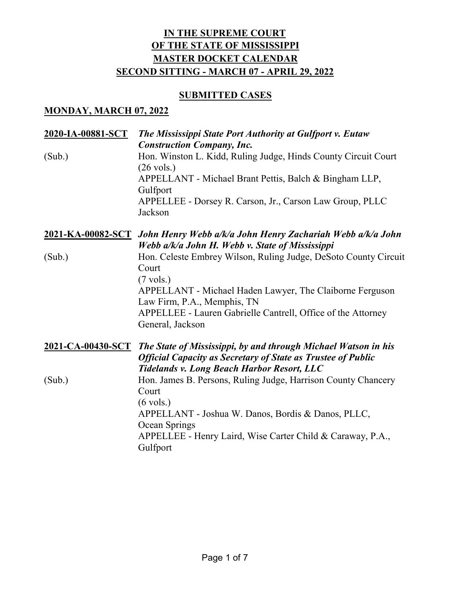## **SUBMITTED CASES**

## **MONDAY, MARCH 07, 2022**

| 2020-IA-00881-SCT | The Mississippi State Port Authority at Gulfport v. Eutaw<br><b>Construction Company, Inc.</b>                                                                                                               |
|-------------------|--------------------------------------------------------------------------------------------------------------------------------------------------------------------------------------------------------------|
| (Sub.)            | Hon. Winston L. Kidd, Ruling Judge, Hinds County Circuit Court<br>$(26 \text{ vols.})$                                                                                                                       |
|                   | APPELLANT - Michael Brant Pettis, Balch & Bingham LLP,<br>Gulfport                                                                                                                                           |
|                   | APPELLEE - Dorsey R. Carson, Jr., Carson Law Group, PLLC<br>Jackson                                                                                                                                          |
|                   | 2021-KA-00082-SCT John Henry Webb a/k/a John Henry Zachariah Webb a/k/a John<br>Webb a/k/a John H. Webb v. State of Mississippi                                                                              |
| (Sub.)            | Hon. Celeste Embrey Wilson, Ruling Judge, DeSoto County Circuit<br>Court<br>$(7 \text{ vols.})$                                                                                                              |
|                   | APPELLANT - Michael Haden Lawyer, The Claiborne Ferguson<br>Law Firm, P.A., Memphis, TN                                                                                                                      |
|                   | APPELLEE - Lauren Gabrielle Cantrell, Office of the Attorney<br>General, Jackson                                                                                                                             |
|                   | 2021-CA-00430-SCT The State of Mississippi, by and through Michael Watson in his<br><b>Official Capacity as Secretary of State as Trustee of Public</b><br><b>Tidelands v. Long Beach Harbor Resort, LLC</b> |
| (Sub.)            | Hon. James B. Persons, Ruling Judge, Harrison County Chancery<br>Court                                                                                                                                       |
|                   | $(6 \text{ vols.})$<br>APPELLANT - Joshua W. Danos, Bordis & Danos, PLLC,<br>Ocean Springs                                                                                                                   |
|                   | APPELLEE - Henry Laird, Wise Carter Child & Caraway, P.A.,<br>Gulfport                                                                                                                                       |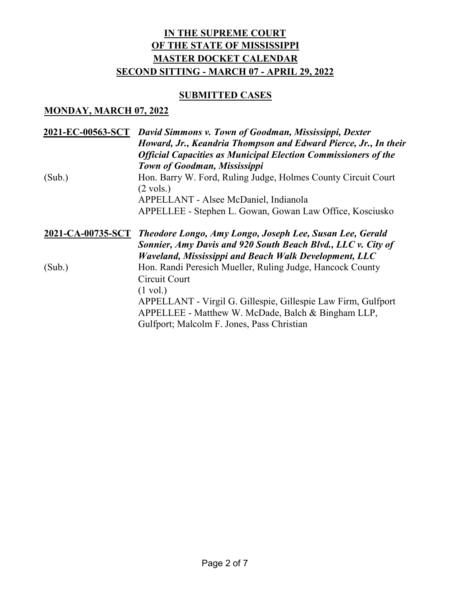### **SUBMITTED CASES**

#### **MONDAY, MARCH 07, 2022**

| 2021-EC-00563-SCT | David Simmons v. Town of Goodman, Mississippi, Dexter<br>Howard, Jr., Keandria Thompson and Edward Pierce, Jr., In their                                          |
|-------------------|-------------------------------------------------------------------------------------------------------------------------------------------------------------------|
|                   | <b>Official Capacities as Municipal Election Commissioners of the</b>                                                                                             |
|                   | Town of Goodman, Mississippi                                                                                                                                      |
| (Sub.)            | Hon. Barry W. Ford, Ruling Judge, Holmes County Circuit Court<br>$(2 \text{ vols.})$                                                                              |
|                   | APPELLANT - Alsee McDaniel, Indianola                                                                                                                             |
|                   | APPELLEE - Stephen L. Gowan, Gowan Law Office, Kosciusko                                                                                                          |
| 2021-CA-00735-SCT | Theodore Longo, Amy Longo, Joseph Lee, Susan Lee, Gerald                                                                                                          |
|                   | Sonnier, Amy Davis and 920 South Beach Blvd., LLC v. City of                                                                                                      |
|                   | Waveland, Mississippi and Beach Walk Development, LLC                                                                                                             |
| (Sub.)            | Hon. Randi Peresich Mueller, Ruling Judge, Hancock County                                                                                                         |
|                   | Circuit Court                                                                                                                                                     |
|                   | $(1 \text{ vol.})$                                                                                                                                                |
|                   | APPELLANT - Virgil G. Gillespie, Gillespie Law Firm, Gulfport<br>APPELLEE - Matthew W. McDade, Balch & Bingham LLP,<br>Gulfport; Malcolm F. Jones, Pass Christian |
|                   |                                                                                                                                                                   |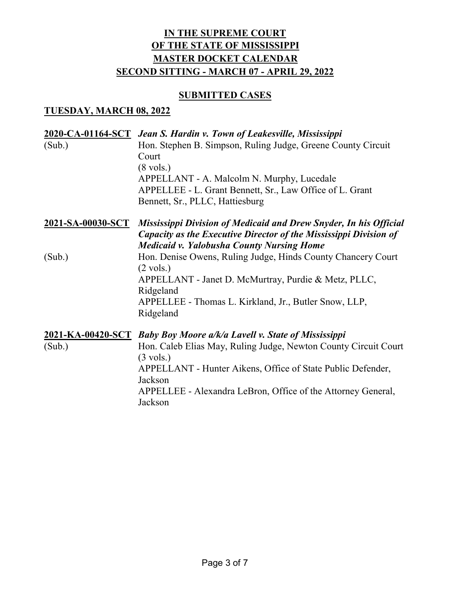## **SUBMITTED CASES**

## **TUESDAY, MARCH 08, 2022**

| (Sub.) | 2020-CA-01164-SCT Jean S. Hardin v. Town of Leakesville, Mississippi<br>Hon. Stephen B. Simpson, Ruling Judge, Greene County Circuit<br>Court<br>$(8 \text{ vols.})$<br>APPELLANT - A. Malcolm N. Murphy, Lucedale<br>APPELLEE - L. Grant Bennett, Sr., Law Office of L. Grant<br>Bennett, Sr., PLLC, Hattiesburg    |
|--------|----------------------------------------------------------------------------------------------------------------------------------------------------------------------------------------------------------------------------------------------------------------------------------------------------------------------|
|        | 2021-SA-00030-SCT Mississippi Division of Medicaid and Drew Snyder, In his Official<br>Capacity as the Executive Director of the Mississippi Division of<br><b>Medicaid v. Yalobusha County Nursing Home</b>                                                                                                         |
| (Sub.) | Hon. Denise Owens, Ruling Judge, Hinds County Chancery Court<br>$(2 \text{ vols.})$<br>APPELLANT - Janet D. McMurtray, Purdie & Metz, PLLC,<br>Ridgeland<br>APPELLEE - Thomas L. Kirkland, Jr., Butler Snow, LLP,<br>Ridgeland                                                                                       |
| (Sub.) | 2021-KA-00420-SCT Baby Boy Moore a/k/a Lavell v. State of Mississippi<br>Hon. Caleb Elias May, Ruling Judge, Newton County Circuit Court<br>$(3 \text{ vols.})$<br>APPELLANT - Hunter Aikens, Office of State Public Defender,<br>Jackson<br>APPELLEE - Alexandra LeBron, Office of the Attorney General,<br>Jackson |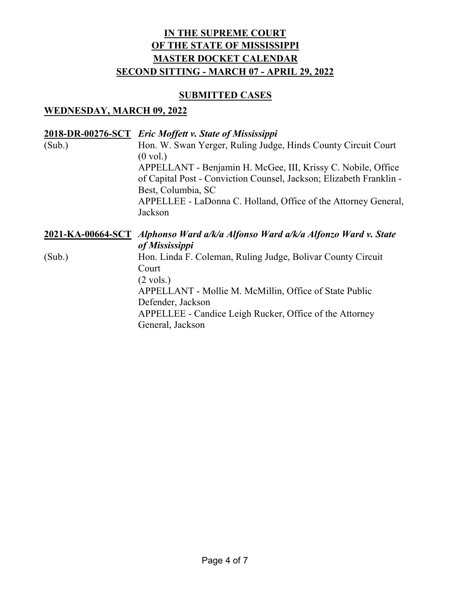## **SUBMITTED CASES**

## **WEDNESDAY, MARCH 09, 2022**

|        | 2018-DR-00276-SCT Eric Moffett v. State of Mississippi                         |
|--------|--------------------------------------------------------------------------------|
| (Sub.) | Hon. W. Swan Yerger, Ruling Judge, Hinds County Circuit Court                  |
|        | $(0 \text{ vol.})$                                                             |
|        | APPELLANT - Benjamin H. McGee, III, Krissy C. Nobile, Office                   |
|        | of Capital Post - Conviction Counsel, Jackson; Elizabeth Franklin -            |
|        | Best, Columbia, SC                                                             |
|        | APPELLEE - LaDonna C. Holland, Office of the Attorney General,                 |
|        | Jackson                                                                        |
|        |                                                                                |
|        |                                                                                |
|        | 2021-KA-00664-SCT Alphonso Ward a/k/a Alfonso Ward a/k/a Alfonzo Ward v. State |
|        | of Mississippi                                                                 |
| (Sub.) | Hon. Linda F. Coleman, Ruling Judge, Bolivar County Circuit                    |
|        | Court                                                                          |
|        | $(2 \text{ vols.})$                                                            |
|        | APPELLANT - Mollie M. McMillin, Office of State Public                         |
|        | Defender, Jackson                                                              |
|        | APPELLEE - Candice Leigh Rucker, Office of the Attorney                        |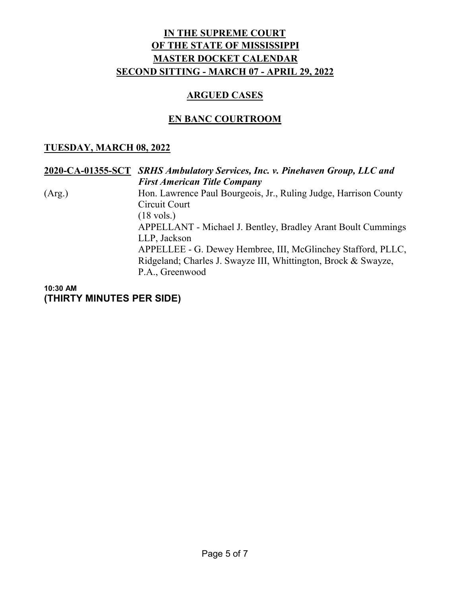## **ARGUED CASES**

# **EN BANC COURTROOM**

## **TUESDAY, MARCH 08, 2022**

#### **2020-CA-01355-SCT** *SRHS Ambulatory Services, Inc. v. Pinehaven Group, LLC and First American Title Company* (Arg.) Hon. Lawrence Paul Bourgeois, Jr., Ruling Judge, Harrison County Circuit Court (18 vols.) APPELLANT - Michael J. Bentley, Bradley Arant Boult Cummings LLP, Jackson APPELLEE - G. Dewey Hembree, III, McGlinchey Stafford, PLLC, Ridgeland; Charles J. Swayze III, Whittington, Brock & Swayze, P.A., Greenwood

**10:30 AM (THIRTY MINUTES PER SIDE)**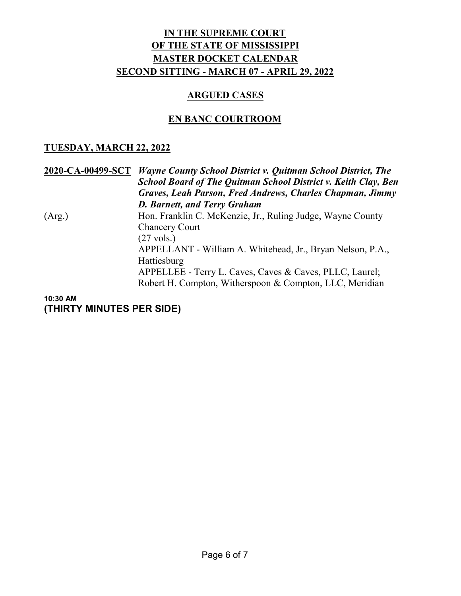#### **ARGUED CASES**

## **EN BANC COURTROOM**

## **TUESDAY, MARCH 22, 2022**

**2020-CA-00499-SCT** *Wayne County School District v. Quitman School District, The School Board of The Quitman School District v. Keith Clay, Ben Graves, Leah Parson, Fred Andrews, Charles Chapman, Jimmy D. Barnett, and Terry Graham* (Arg.) Hon. Franklin C. McKenzie, Jr., Ruling Judge, Wayne County Chancery Court (27 vols.) APPELLANT - William A. Whitehead, Jr., Bryan Nelson, P.A., Hattiesburg APPELLEE - Terry L. Caves, Caves & Caves, PLLC, Laurel; Robert H. Compton, Witherspoon & Compton, LLC, Meridian

#### **10:30 AM (THIRTY MINUTES PER SIDE)**